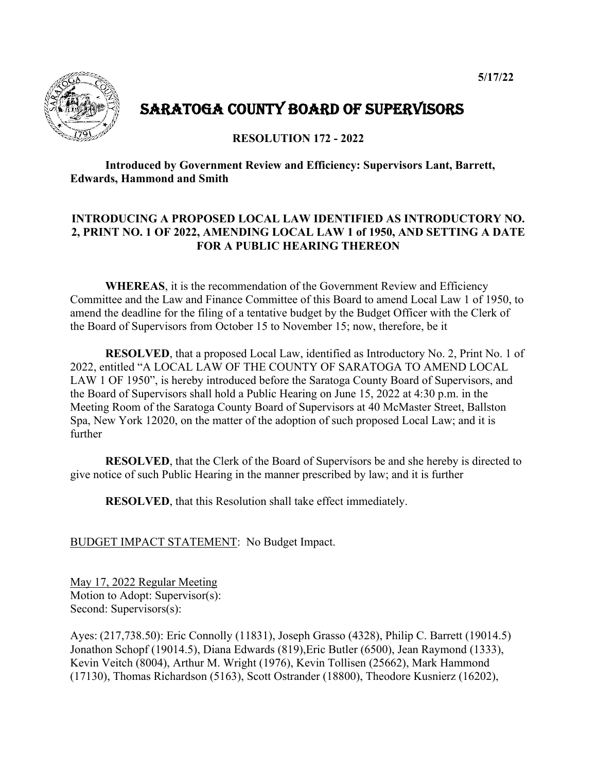

# SARATOGA COUNTY BOARD OF SUPERVISORS

**RESOLUTION 172 - 2022** 

 **Introduced by Government Review and Efficiency: Supervisors Lant, Barrett, Edwards, Hammond and Smith** 

# **INTRODUCING A PROPOSED LOCAL LAW IDENTIFIED AS INTRODUCTORY NO. 2, PRINT NO. 1 OF 2022, AMENDING LOCAL LAW 1 of 1950, AND SETTING A DATE FOR A PUBLIC HEARING THEREON**

**WHEREAS**, it is the recommendation of the Government Review and Efficiency Committee and the Law and Finance Committee of this Board to amend Local Law 1 of 1950, to amend the deadline for the filing of a tentative budget by the Budget Officer with the Clerk of the Board of Supervisors from October 15 to November 15; now, therefore, be it

**RESOLVED**, that a proposed Local Law, identified as Introductory No. 2, Print No. 1 of 2022, entitled "A LOCAL LAW OF THE COUNTY OF SARATOGA TO AMEND LOCAL LAW 1 OF 1950", is hereby introduced before the Saratoga County Board of Supervisors, and the Board of Supervisors shall hold a Public Hearing on June 15, 2022 at 4:30 p.m. in the Meeting Room of the Saratoga County Board of Supervisors at 40 McMaster Street, Ballston Spa, New York 12020, on the matter of the adoption of such proposed Local Law; and it is further

**RESOLVED**, that the Clerk of the Board of Supervisors be and she hereby is directed to give notice of such Public Hearing in the manner prescribed by law; and it is further

**RESOLVED**, that this Resolution shall take effect immediately.

BUDGET IMPACT STATEMENT: No Budget Impact.

May 17, 2022 Regular Meeting Motion to Adopt: Supervisor(s): Second: Supervisors(s):

Ayes: (217,738.50): Eric Connolly (11831), Joseph Grasso (4328), Philip C. Barrett (19014.5) Jonathon Schopf (19014.5), Diana Edwards (819),Eric Butler (6500), Jean Raymond (1333), Kevin Veitch (8004), Arthur M. Wright (1976), Kevin Tollisen (25662), Mark Hammond (17130), Thomas Richardson (5163), Scott Ostrander (18800), Theodore Kusnierz (16202),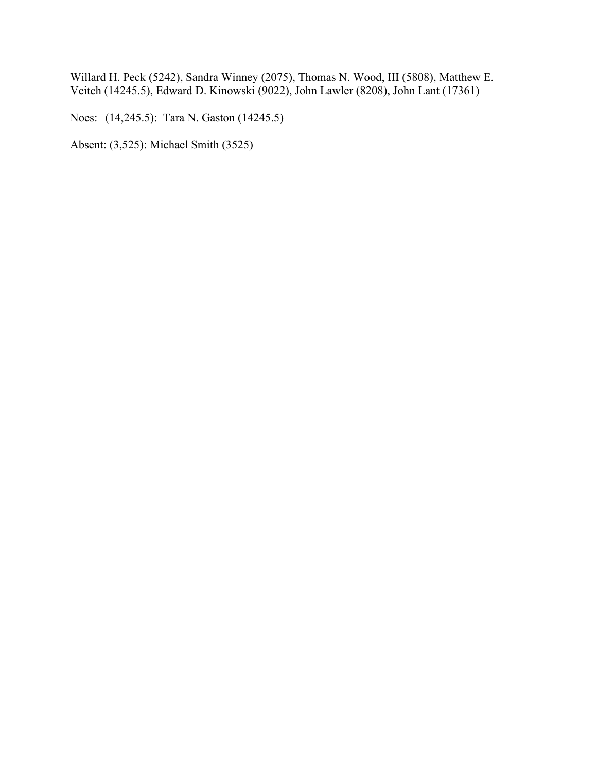Willard H. Peck (5242), Sandra Winney (2075), Thomas N. Wood, III (5808), Matthew E. Veitch (14245.5), Edward D. Kinowski (9022), John Lawler (8208), John Lant (17361)

Noes: (14,245.5): Tara N. Gaston (14245.5)

Absent: (3,525): Michael Smith (3525)